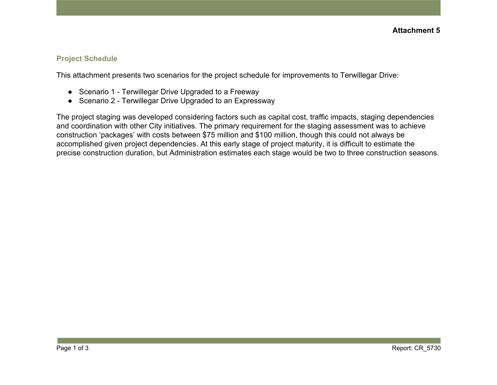## **Project Schedule**

This attachment presents two scenarios for the project schedule for improvements to Terwillegar Drive:

- Scenario 1 Terwillegar Drive Upgraded to a Freeway
- Scenario 2 Terwillegar Drive Upgraded to an Expressway

The project staging was developed considering factors such as capital cost, traffic impacts, staging dependencies and coordination with other City initiatives. The primary requirement for the staging assessment was to achieve construction 'packages' with costs between \$75 million and \$100 million, though this could not always be accomplished given project dependencies. At this early stage of project maturity, it is difficult to estimate the precise construction duration, but Administration estimates each stage would be two to three construction seasons.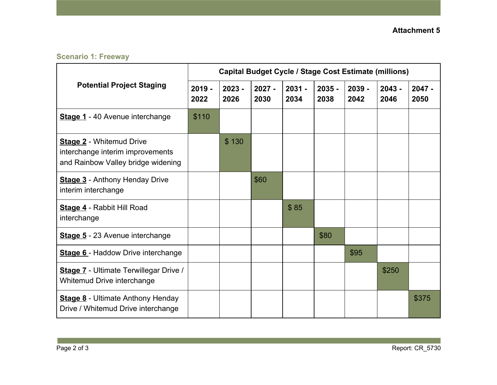## **Scenario 1: Freeway**

|                                                                                                           | <b>Capital Budget Cycle / Stage Cost Estimate (millions)</b> |                  |                  |                  |                  |                  |                  |                  |
|-----------------------------------------------------------------------------------------------------------|--------------------------------------------------------------|------------------|------------------|------------------|------------------|------------------|------------------|------------------|
| <b>Potential Project Staging</b>                                                                          | $2019 -$<br>2022                                             | $2023 -$<br>2026 | $2027 -$<br>2030 | $2031 -$<br>2034 | $2035 -$<br>2038 | $2039 -$<br>2042 | $2043 -$<br>2046 | $2047 -$<br>2050 |
| <b>Stage 1</b> - 40 Avenue interchange                                                                    | \$110                                                        |                  |                  |                  |                  |                  |                  |                  |
| <b>Stage 2</b> - Whitemud Drive<br>interchange interim improvements<br>and Rainbow Valley bridge widening |                                                              | \$130            |                  |                  |                  |                  |                  |                  |
| <b>Stage 3</b> - Anthony Henday Drive<br>interim interchange                                              |                                                              |                  | \$60             |                  |                  |                  |                  |                  |
| <b>Stage 4</b> - Rabbit Hill Road<br>interchange                                                          |                                                              |                  |                  | \$85             |                  |                  |                  |                  |
| <b>Stage 5</b> - 23 Avenue interchange                                                                    |                                                              |                  |                  |                  | \$80             |                  |                  |                  |
| <b>Stage 6</b> - Haddow Drive interchange                                                                 |                                                              |                  |                  |                  |                  | \$95             |                  |                  |
| <b>Stage 7</b> - Ultimate Terwillegar Drive /<br>Whitemud Drive interchange                               |                                                              |                  |                  |                  |                  |                  | \$250            |                  |
| <b>Stage 8</b> - Ultimate Anthony Henday<br>Drive / Whitemud Drive interchange                            |                                                              |                  |                  |                  |                  |                  |                  | \$375            |